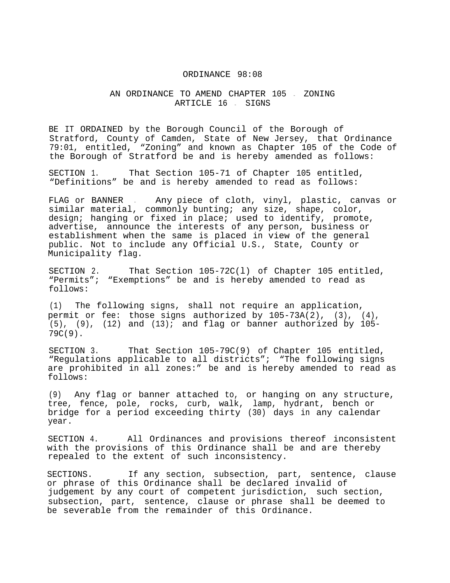## ORDINANCE 98:08

## AN ORDINANCE TO AMEND CHAPTER 105 - ZONING ARTICLE 16 - SIGNS

BE IT ORDAINED by the Borough Council of the Borough of Stratford, County of Camden, State of New Jersey, that Ordinance 79:01, entitled, "Zoning" and known as Chapter 105 of the Code of the Borough of Stratford be and is hereby amended as follows:

SECTION 1. That Section 105-71 of Chapter 105 entitled, "Definitions" be and is hereby amended to read as follows:

FLAG or BANNER . Any piece of cloth, vinyl, plastic, canvas or similar material, commonly bunting; any size, shape, color, design; hanging or fixed in place; used to identify, promote, advertise, announce the interests of any person, business or establishment when the same is placed in view of the general public. Not to include any Official U.S., State, County or Municipality flag.

SECTION 2. That Section 105-72C(l) of Chapter 105 entitled, "Permits"; "Exemptions" be and is hereby amended to read as follows:

(1) The following signs, shall not require an application, permit or fee: those signs authorized by 105-73A(2), (3), (4),  $(5)$ ,  $(9)$ ,  $(12)$  and  $(13)$ ; and flag or banner authorized by 105-79C(9).

SECTION 3. That Section 105-79C(9) of Chapter 105 entitled, "Regulations applicable to all districts"; "The following signs are prohibited in all zones:" be and is hereby amended to read as follows:

(9) Any flag or banner attached to, or hanging on any structure, tree, fence, pole, rocks, curb, walk, lamp, hydrant, bench or bridge for a period exceeding thirty (30) days in any calendar year.

SECTION 4. All Ordinances and provisions thereof inconsistent with the provisions of this Ordinance shall be and are thereby repealed to the extent of such inconsistency.

SECTIONS. If any section, subsection, part, sentence, clause or phrase of this Ordinance shall be declared invalid of judgement by any court of competent jurisdiction, such section, subsection, part, sentence, clause or phrase shall be deemed to be severable from the remainder of this Ordinance.